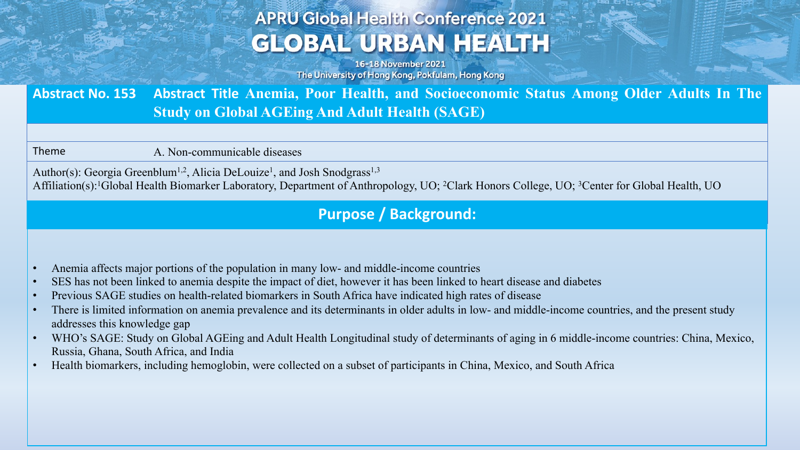# **APRU Global Health Conference 2021 GLOBAL URBAN HEALTH**

16-18 November 2021 The University of Hong Kong, Pokfulam, Hong Kong

**Abstract No. 153 Abstract Title Anemia, Poor Health, and Socioeconomic Status Among Older Adults In The Study on Global AGEing And Adult Health (SAGE)**

Theme A. Non-communicable diseases

Author(s): Georgia Greenblum<sup>1,2</sup>, Alicia DeLouize<sup>1</sup>, and Josh Snodgrass<sup>1,3</sup> Affiliation(s):1Global Health Biomarker Laboratory, Department of Anthropology, UO; 2Clark Honors College, UO; 3Center for Global Health, UO

## **Purpose / Background:**

- Anemia affects major portions of the population in many low- and middle-income countries
- SES has not been linked to anemia despite the impact of diet, however it has been linked to heart disease and diabetes
- Previous SAGE studies on health-related biomarkers in South Africa have indicated high rates of disease
- There is limited information on anemia prevalence and its determinants in older adults in low- and middle-income countries, and the present study addresses this knowledge gap
- WHO's SAGE: Study on Global AGEing and Adult Health Longitudinal study of determinants of aging in 6 middle-income countries: China, Mexico, Russia, Ghana, South Africa, and India
- Health biomarkers, including hemoglobin, were collected on a subset of participants in China, Mexico, and South Africa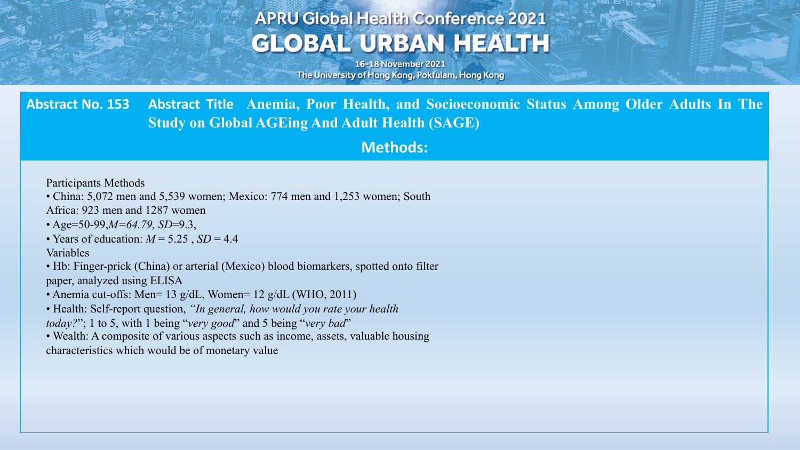## **APRU Global Health Conference 2021 GLOBAL URBAN HEALTH**

16-18 November 2021 The University of Hong Kong, Pokfulam, Hong Kong

**Abstract No. 153 Abstract Title Anemia, Poor Health, and Socioeconomic Status Among Older Adults In The Study on Global AGEing And Adult Health (SAGE)**

**Methods:**

Participants Methods

• China: 5,072 men and 5,539 women; Mexico: 774 men and 1,253 women; South

Africa: 923 men and 1287 women

- Age=50-99,*M=64.79, SD*=9.3,
- Years of education:  $M = 5.25$ ,  $SD = 4.4$

Variables

• Hb: Finger-prick (China) or arterial (Mexico) blood biomarkers, spotted onto filter paper, analyzed using ELISA

• Anemia cut-offs: Men= 13 g/dL, Women= 12 g/dL (WHO, 2011)

• Health: Self-report question, *"In general, how would you rate your health today?*"; 1 to 5, with 1 being "*very good*" and 5 being "*very bad*"

• Wealth: A composite of various aspects such as income, assets, valuable housing characteristics which would be of monetary value